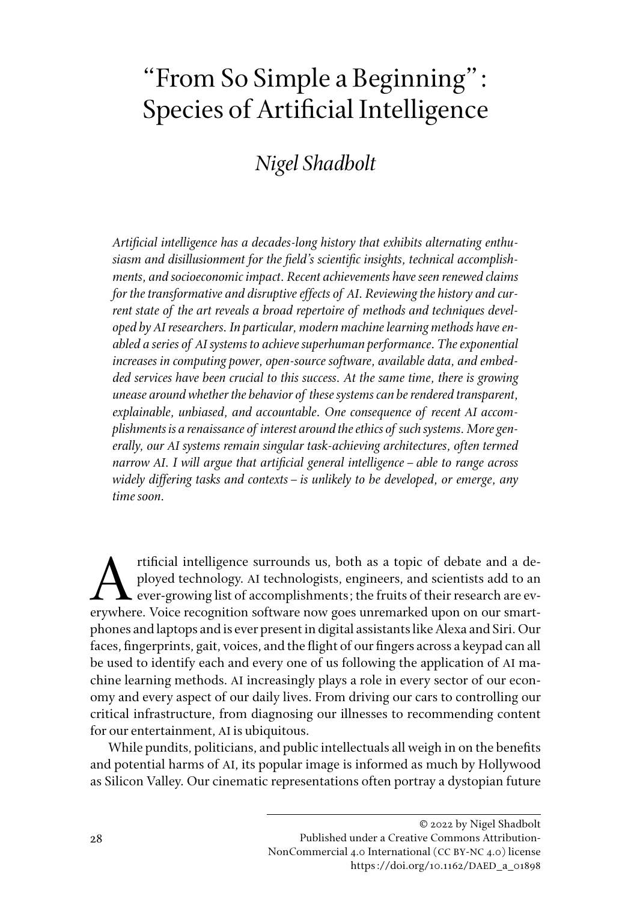## "From So Simple a Beginning": Species of Artificial Intelligence

## *Nigel Shadbolt*

*Artificial intelligence has a decades-long history that exhibits alternating enthusiasm and disillusionment for the field's scientific insights, technical accomplishments, and socioeconomic impact. Recent achievements have seen renewed claims for the transformative and disruptive effects of AI. Reviewing the history and current state of the art reveals a broad repertoire of methods and techniques developed by AI researchers. In particular, modern machine learning methods have enabled a series of AI systems to achieve superhuman performance. The exponential increases in computing power, open-source software, available data, and embedded services have been crucial to this success. At the same time, there is growing unease around whether the behavior of these systems can be rendered transparent, explainable, unbiased, and accountable. One consequence of recent AI accomplishments is a renaissance of interest around the ethics of such systems. More generally, our AI systems remain singular task-achieving architectures, often termed narrow AI. I will argue that artificial general intelligence–able to range across widely differing tasks and contexts–is unlikely to be developed, or emerge, any time soon.* 

tificial intelligence surrounds us, both as a topic of debate and a deployed technology. AI technologists, engineers, and scientists add to an ever-growing list of accomplishments; the fruits of their research are everywhe ployed technology. AI technologists, engineers, and scientists add to an ever-growing list of accomplishments; the fruits of their research are everywhere. Voice recognition software now goes unremarked upon on our smartphones and laptops and is ever present in digital assistants like Alexa and Siri. Our faces, fingerprints, gait, voices, and the flight of our fingers across a keypad can all be used to identify each and every one of us following the application of AI machine learning methods. AI increasingly plays a role in every sector of our economy and every aspect of our daily lives. From driving our cars to controlling our critical infrastructure, from diagnosing our illnesses to recommending content for our entertainment, AI is ubiquitous.

While pundits, politicians, and public intellectuals all weigh in on the benefits and potential harms of AI, its popular image is informed as much by Hollywood as Silicon Valley. Our cinematic representations often portray a dystopian future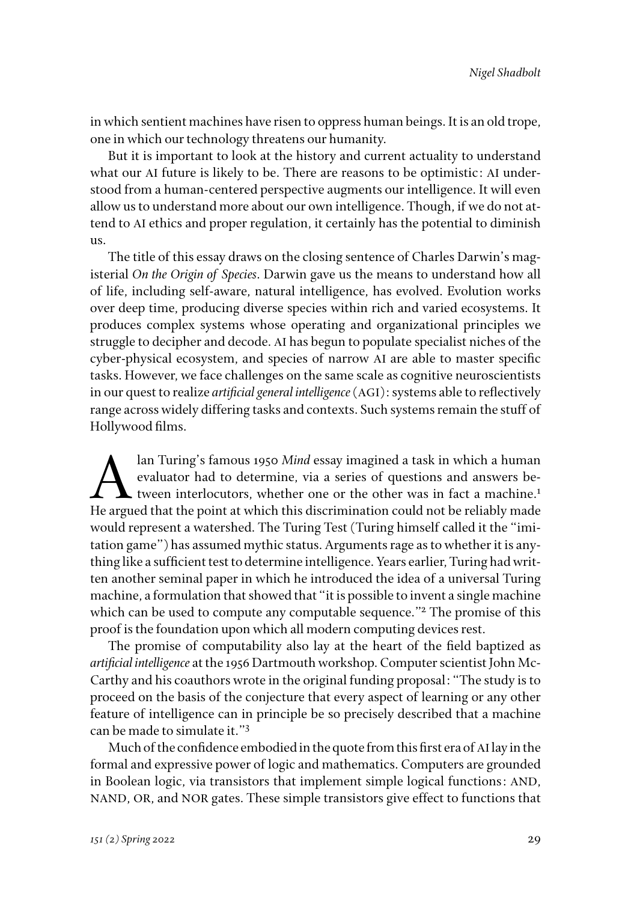in which sentient machines have risen to oppress human beings. It is an old trope, one in which our technology threatens our humanity.

But it is important to look at the history and current actuality to understand what our AI future is likely to be. There are reasons to be optimistic: AI understood from a human-centered perspective augments our intelligence. It will even allow us to understand more about our own intelligence. Though, if we do not attend to AI ethics and proper regulation, it certainly has the potential to diminish us.

The title of this essay draws on the closing sentence of Charles Darwin's magisterial *On the Origin of Species*. Darwin gave us the means to understand how all of life, including self-aware, natural intelligence, has evolved. Evolution works over deep time, producing diverse species within rich and varied ecosystems. It produces complex systems whose operating and organizational principles we struggle to decipher and decode. AI has begun to populate specialist niches of the cyber-physical ecosystem, and species of narrow AI are able to master specific tasks. However, we face challenges on the same scale as cognitive neuroscientists in our quest to realize *artificial general intelligence* (AGI): systems able to reflectively range across widely differing tasks and contexts. Such systems remain the stuff of Hollywood films.

alan Turing's famous 1950 *Mind* essay imagined a task in which a human<br>evaluator had to determine, via a series of questions and answers be-<br>tween interlocutors, whether one or the other was in fact a machine.<sup>1</sup><br>He argue evaluator had to determine, via a series of questions and answers between interlocutors, whether one or the other was in fact a machine.<sup>1</sup> He argued that the point at which this discrimination could not be reliably made would represent a watershed. The Turing Test (Turing himself called it the "imitation game") has assumed mythic status. Arguments rage as to whether it is anything like a sufficient test to determine intelligence. Years earlier, Turing had written another seminal paper in which he introduced the idea of a universal Turing machine, a formulation that showed that "it is possible to invent a single machine which can be used to compute any computable sequence."<sup>2</sup> The promise of this proof is the foundation upon which all modern computing devices rest.

The promise of computability also lay at the heart of the field baptized as *artificial intelligence* at the 1956 Dartmouth workshop. Computer scientist John Mc-Carthy and his coauthors wrote in the original funding proposal: "The study is to proceed on the basis of the conjecture that every aspect of learning or any other feature of intelligence can in principle be so precisely described that a machine can be made to simulate it."3

Much of the confidence embodied in the quote from this first era of AI lay in the formal and expressive power of logic and mathematics. Computers are grounded in Boolean logic, via transistors that implement simple logical functions: AND, NAND, OR, and NOR gates. These simple transistors give effect to functions that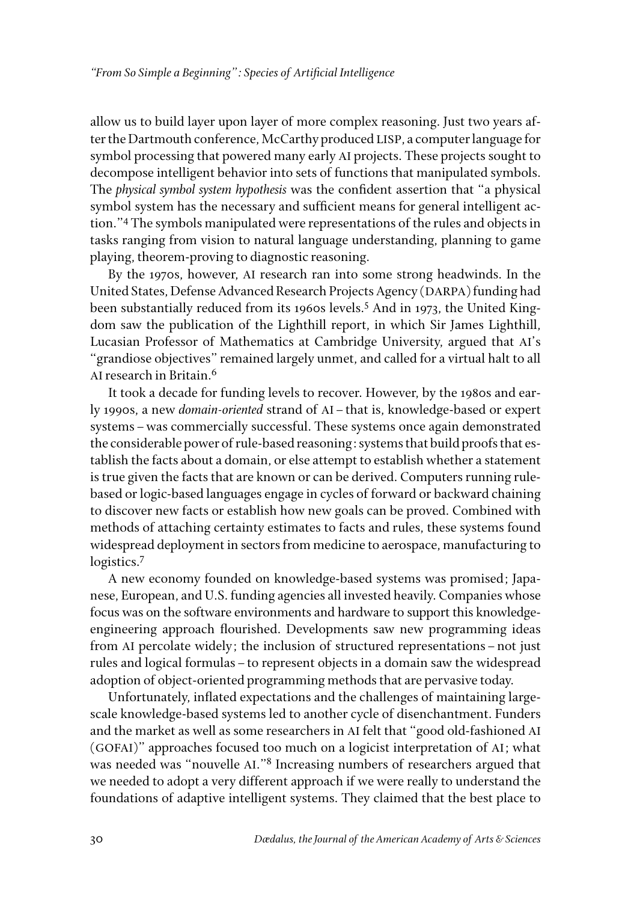allow us to build layer upon layer of more complex reasoning. Just two years after the Dartmouth conference, McCarthy produced LISP, a computer language for symbol processing that powered many early AI projects. These projects sought to decompose intelligent behavior into sets of functions that manipulated symbols. The *physical symbol system hypothesis* was the confident assertion that "a physical symbol system has the necessary and sufficient means for general intelligent action."4 The symbols manipulated were representations of the rules and objects in tasks ranging from vision to natural language understanding, planning to game playing, theorem-proving to diagnostic reasoning.

By the 1970s, however, AI research ran into some strong headwinds. In the United States, Defense Advanced Research Projects Agency (DARPA) funding had been substantially reduced from its 1960s levels.<sup>5</sup> And in 1973, the United Kingdom saw the publication of the Lighthill report, in which Sir James Lighthill, Lucasian Professor of Mathematics at Cambridge University, argued that AI's "grandiose objectives" remained largely unmet, and called for a virtual halt to all AI research in Britain.6

It took a decade for funding levels to recover. However, by the 1980s and early 1990s, a new *domain-oriented* strand of AI–that is, knowledge-based or expert systems–was commercially successful. These systems once again demonstrated the considerable power of rule-based reasoning: systems that build proofs that establish the facts about a domain, or else attempt to establish whether a statement is true given the facts that are known or can be derived. Computers running rulebased or logic-based languages engage in cycles of forward or backward chaining to discover new facts or establish how new goals can be proved. Combined with methods of attaching certainty estimates to facts and rules, these systems found widespread deployment in sectors from medicine to aerospace, manufacturing to logistics.<sup>7</sup>

A new economy founded on knowledge-based systems was promised; Japanese, European, and U.S. funding agencies all invested heavily. Companies whose focus was on the software environments and hardware to support this knowledgeengineering approach flourished. Developments saw new programming ideas from AI percolate widely; the inclusion of structured representations–not just rules and logical formulas–to represent objects in a domain saw the widespread adoption of object-oriented programming methods that are pervasive today.

Unfortunately, inflated expectations and the challenges of maintaining largescale knowledge-based systems led to another cycle of disenchantment. Funders and the market as well as some researchers in AI felt that "good old-fashioned AI (GOFAI)" approaches focused too much on a logicist interpretation of AI; what was needed was "nouvelle AI."<sup>8</sup> Increasing numbers of researchers argued that we needed to adopt a very different approach if we were really to understand the foundations of adaptive intelligent systems. They claimed that the best place to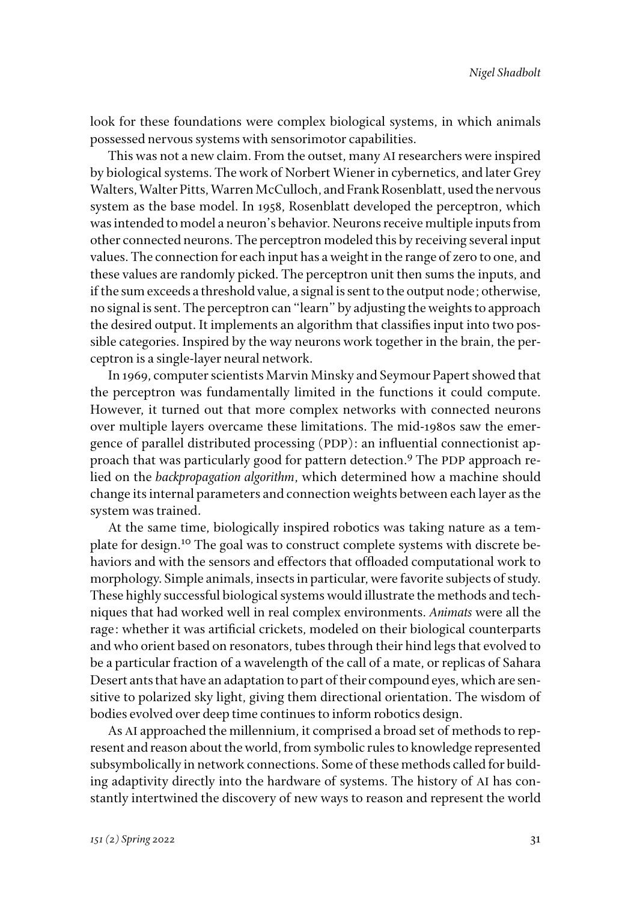look for these foundations were complex biological systems, in which animals possessed nervous systems with sensorimotor capabilities.

This was not a new claim. From the outset, many AI researchers were inspired by biological systems. The work of Norbert Wiener in cybernetics, and later Grey Walters, Walter Pitts, Warren McCulloch, and Frank Rosenblatt, used the nervous system as the base model. In 1958, Rosenblatt developed the perceptron, which was intended to model a neuron's behavior. Neurons receive multiple inputs from other connected neurons. The perceptron modeled this by receiving several input values. The connection for each input has a weight in the range of zero to one, and these values are randomly picked. The perceptron unit then sums the inputs, and if the sum exceeds a threshold value, a signal is sent to the output node; otherwise, no signal is sent. The perceptron can "learn" by adjusting the weights to approach the desired output. It implements an algorithm that classifies input into two possible categories. Inspired by the way neurons work together in the brain, the perceptron is a single-layer neural network.

In 1969, computer scientists Marvin Minsky and Seymour Papert showed that the perceptron was fundamentally limited in the functions it could compute. However, it turned out that more complex networks with connected neurons over multiple layers overcame these limitations. The mid-1980s saw the emergence of parallel distributed processing (PDP): an influential connectionist approach that was particularly good for pattern detection.9 The PDP approach relied on the *backpropagation algorithm*, which determined how a machine should change its internal parameters and connection weights between each layer as the system was trained.

At the same time, biologically inspired robotics was taking nature as a template for design.10 The goal was to construct complete systems with discrete behaviors and with the sensors and effectors that offloaded computational work to morphology. Simple animals, insects in particular, were favorite subjects of study. These highly successful biological systems would illustrate the methods and techniques that had worked well in real complex environments. *Animats* were all the rage: whether it was artificial crickets, modeled on their biological counterparts and who orient based on resonators, tubes through their hind legs that evolved to be a particular fraction of a wavelength of the call of a mate, or replicas of Sahara Desert ants that have an adaptation to part of their compound eyes, which are sensitive to polarized sky light, giving them directional orientation. The wisdom of bodies evolved over deep time continues to inform robotics design.

As AI approached the millennium, it comprised a broad set of methods to represent and reason about the world, from symbolic rules to knowledge represented subsymbolically in network connections. Some of these methods called for building adaptivity directly into the hardware of systems. The history of AI has constantly intertwined the discovery of new ways to reason and represent the world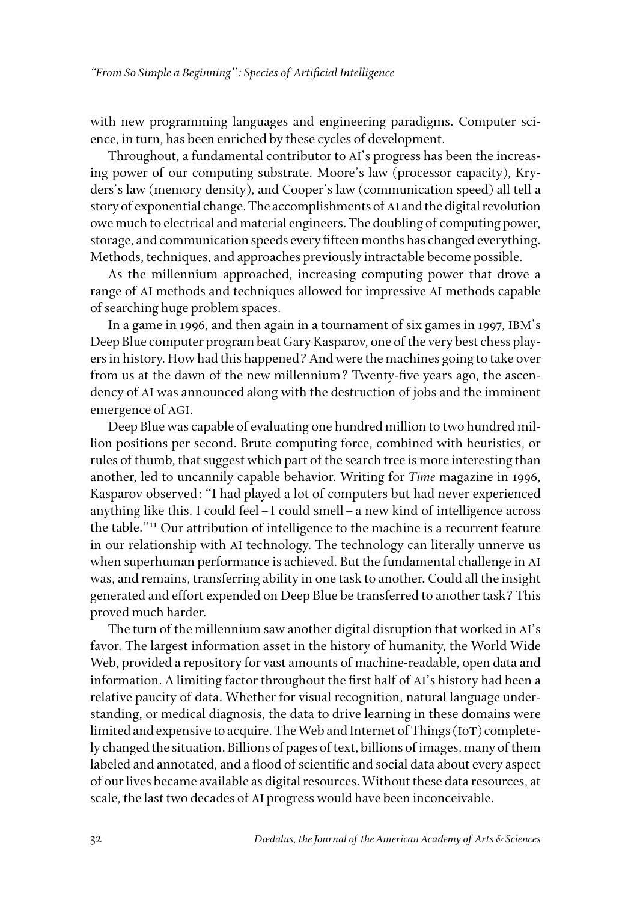with new programming languages and engineering paradigms. Computer science, in turn, has been enriched by these cycles of development.

Throughout, a fundamental contributor to AI's progress has been the increasing power of our computing substrate. Moore's law (processor capacity), Kryders's law (memory density), and Cooper's law (communication speed) all tell a story of exponential change. The accomplishments of AI and the digital revolution owe much to electrical and material engineers. The doubling of computing power, storage, and communication speeds every fifteen months has changed everything. Methods, techniques, and approaches previously intractable become possible.

As the millennium approached, increasing computing power that drove a range of AI methods and techniques allowed for impressive AI methods capable of searching huge problem spaces.

In a game in 1996, and then again in a tournament of six games in 1997, IBM's Deep Blue computer program beat Gary Kasparov, one of the very best chess players in history. How had this happened? And were the machines going to take over from us at the dawn of the new millennium? Twenty-five years ago, the ascendency of AI was announced along with the destruction of jobs and the imminent emergence of AGI.

Deep Blue was capable of evaluating one hundred million to two hundred million positions per second. Brute computing force, combined with heuristics, or rules of thumb, that suggest which part of the search tree is more interesting than another, led to uncannily capable behavior. Writing for *Time* magazine in 1996, Kasparov observed: "I had played a lot of computers but had never experienced anything like this. I could feel–I could smell–a new kind of intelligence across the table."11 Our attribution of intelligence to the machine is a recurrent feature in our relationship with AI technology. The technology can literally unnerve us when superhuman performance is achieved. But the fundamental challenge in AI was, and remains, transferring ability in one task to another. Could all the insight generated and effort expended on Deep Blue be transferred to another task? This proved much harder.

The turn of the millennium saw another digital disruption that worked in AI's favor. The largest information asset in the history of humanity, the World Wide Web, provided a repository for vast amounts of machine-readable, open data and information. A limiting factor throughout the first half of AI's history had been a relative paucity of data. Whether for visual recognition, natural language understanding, or medical diagnosis, the data to drive learning in these domains were limited and expensive to acquire. The Web and Internet of Things (IoT) completely changed the situation. Billions of pages of text, billions of images, many of them labeled and annotated, and a flood of scientific and social data about every aspect of our lives became available as digital resources. Without these data resources, at scale, the last two decades of AI progress would have been inconceivable.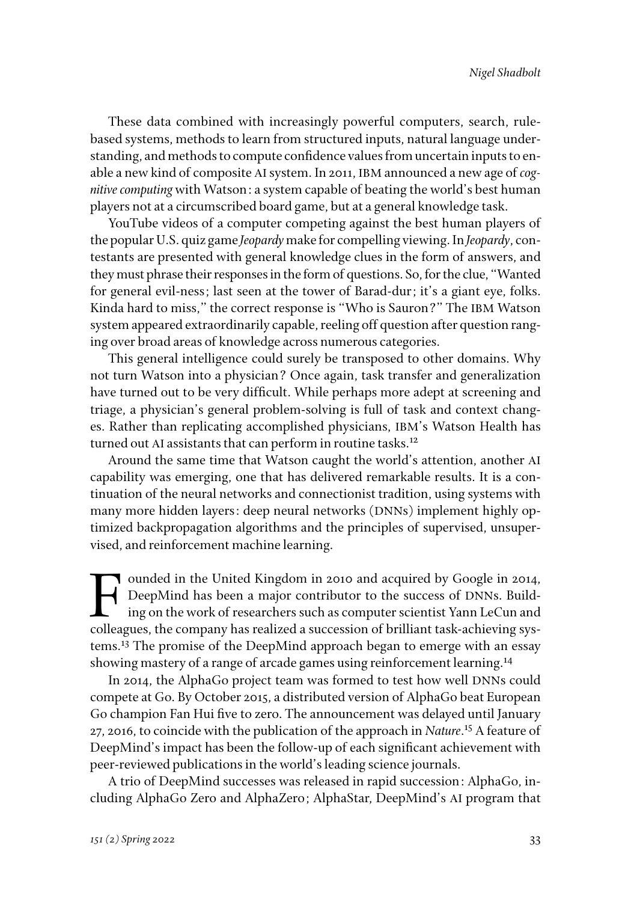These data combined with increasingly powerful computers, search, rulebased systems, methods to learn from structured inputs, natural language understanding, and methods to compute confidence values from uncertain inputs to enable a new kind of composite AI system. In 2011, IBM announced a new age of *cognitive computing* with Watson: a system capable of beating the world's best human players not at a circumscribed board game, but at a general knowledge task.

YouTube videos of a computer competing against the best human players of the popular U.S. quiz game *Jeopardy* make for compelling viewing. In *Jeopardy*, contestants are presented with general knowledge clues in the form of answers, and they must phrase their responses in the form of questions. So, for the clue, "Wanted for general evil-ness; last seen at the tower of Barad-dur; it's a giant eye, folks. Kinda hard to miss," the correct response is "Who is Sauron?" The IBM Watson system appeared extraordinarily capable, reeling off question after question ranging over broad areas of knowledge across numerous categories.

This general intelligence could surely be transposed to other domains. Why not turn Watson into a physician? Once again, task transfer and generalization have turned out to be very difficult. While perhaps more adept at screening and triage, a physician's general problem-solving is full of task and context changes. Rather than replicating accomplished physicians, IBM's Watson Health has turned out AI assistants that can perform in routine tasks.<sup>12</sup>

Around the same time that Watson caught the world's attention, another AI capability was emerging, one that has delivered remarkable results. It is a continuation of the neural networks and connectionist tradition, using systems with many more hidden layers: deep neural networks (DNNs) implement highly optimized backpropagation algorithms and the principles of supervised, unsupervised, and reinforcement machine learning.

Founded in the United Kingdom in 2010 and acquired by Google in 2014,<br>DeepMind has been a major contributor to the success of DNNs. Building on the work of researchers such as computer scientist Yann LeCun and<br>colleagues t DeepMind has been a major contributor to the success of DNNs. Building on the work of researchers such as computer scientist Yann LeCun and colleagues, the company has realized a succession of brilliant task-achieving systems.13 The promise of the DeepMind approach began to emerge with an essay showing mastery of a range of arcade games using reinforcement learning.<sup>14</sup>

In 2014, the AlphaGo project team was formed to test how well DNNs could compete at Go. By October 2015, a distributed version of AlphaGo beat European Go champion Fan Hui five to zero. The announcement was delayed until January 27, 2016, to coincide with the publication of the approach in *Nature*. 15 A feature of DeepMind's impact has been the follow-up of each significant achievement with peer-reviewed publications in the world's leading science journals.

A trio of DeepMind successes was released in rapid succession: AlphaGo, including AlphaGo Zero and AlphaZero; AlphaStar, DeepMind's AI program that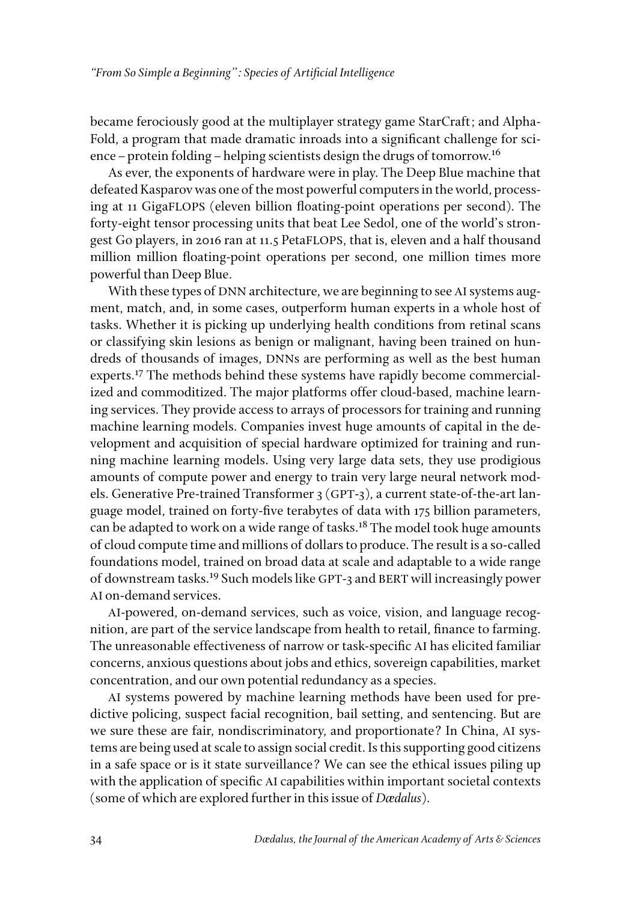became ferociously good at the multiplayer strategy game StarCraft; and Alpha-Fold, a program that made dramatic inroads into a significant challenge for science–protein folding–helping scientists design the drugs of tomorrow.16

As ever, the exponents of hardware were in play. The Deep Blue machine that defeated Kasparov was one of the most powerful computers in the world, processing at 11 GigaFLOPS (eleven billion floating-point operations per second). The forty-eight tensor processing units that beat Lee Sedol, one of the world's strongest Go players, in 2016 ran at 11.5 PetaFLOPS, that is, eleven and a half thousand million million floating-point operations per second, one million times more powerful than Deep Blue.

With these types of DNN architecture, we are beginning to see AI systems augment, match, and, in some cases, outperform human experts in a whole host of tasks. Whether it is picking up underlying health conditions from retinal scans or classifying skin lesions as benign or malignant, having been trained on hundreds of thousands of images, DNNs are performing as well as the best human experts.<sup>17</sup> The methods behind these systems have rapidly become commercialized and commoditized. The major platforms offer cloud-based, machine learning services. They provide access to arrays of processors for training and running machine learning models. Companies invest huge amounts of capital in the development and acquisition of special hardware optimized for training and running machine learning models. Using very large data sets, they use prodigious amounts of compute power and energy to train very large neural network models. Generative Pre-trained Transformer 3 (GPT-3), a current state-of-the-art language model, trained on forty-five terabytes of data with 175 billion parameters, can be adapted to work on a wide range of tasks.<sup>18</sup> The model took huge amounts of cloud compute time and millions of dollars to produce. The result is a so-called foundations model, trained on broad data at scale and adaptable to a wide range of downstream tasks.19 Such models like GPT-3 and BERT will increasingly power AI on-demand services.

AI-powered, on-demand services, such as voice, vision, and language recognition, are part of the service landscape from health to retail, finance to farming. The unreasonable effectiveness of narrow or task-specific AI has elicited familiar concerns, anxious questions about jobs and ethics, sovereign capabilities, market concentration, and our own potential redundancy as a species.

AI systems powered by machine learning methods have been used for predictive policing, suspect facial recognition, bail setting, and sentencing. But are we sure these are fair, nondiscriminatory, and proportionate? In China, AI systems are being used at scale to assign social credit. Is this supporting good citizens in a safe space or is it state surveillance? We can see the ethical issues piling up with the application of specific AI capabilities within important societal contexts (some of which are explored further in this issue of *Dædalus*).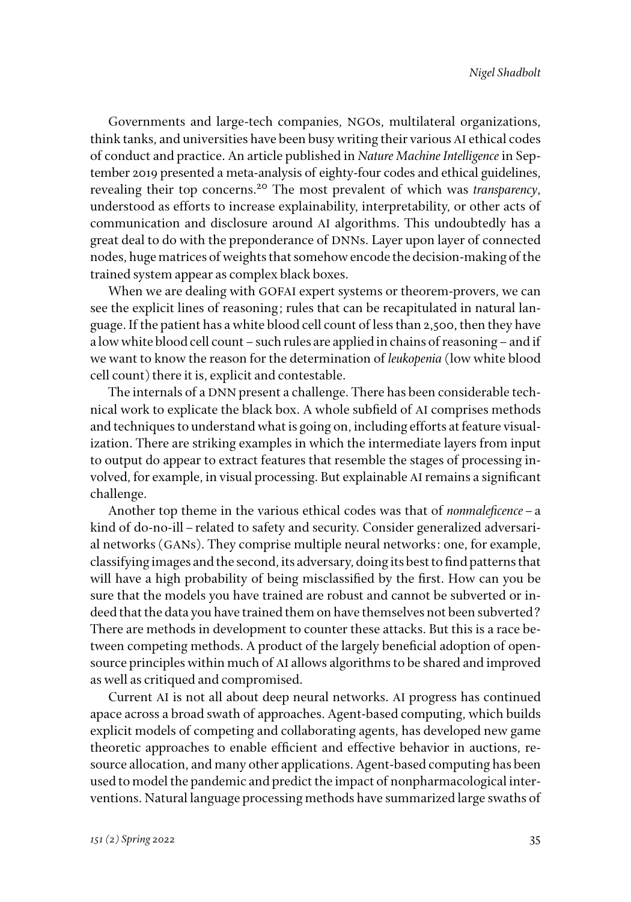Governments and large-tech companies, NGOs, multilateral organizations, think tanks, and universities have been busy writing their various AI ethical codes of conduct and practice. An article published in *Nature Machine Intelligence* in September 2019 presented a meta-analysis of eighty-four codes and ethical guidelines, revealing their top concerns.20 The most prevalent of which was *transparency*, understood as efforts to increase explainability, interpretability, or other acts of communication and disclosure around AI algorithms. This undoubtedly has a great deal to do with the preponderance of DNNs. Layer upon layer of connected nodes, huge matrices of weights that somehow encode the decision-making of the trained system appear as complex black boxes.

When we are dealing with GOFAI expert systems or theorem-provers, we can see the explicit lines of reasoning; rules that can be recapitulated in natural language. If the patient has a white blood cell count of less than 2,500, then they have a low white blood cell count–such rules are applied in chains of reasoning–and if we want to know the reason for the determination of *leukopenia* (low white blood cell count) there it is, explicit and contestable.

The internals of a DNN present a challenge. There has been considerable technical work to explicate the black box. A whole subfield of AI comprises methods and techniques to understand what is going on, including efforts at feature visualization. There are striking examples in which the intermediate layers from input to output do appear to extract features that resemble the stages of processing involved, for example, in visual processing. But explainable AI remains a significant challenge.

Another top theme in the various ethical codes was that of *nonmaleficence*–a kind of do-no-ill–related to safety and security. Consider generalized adversarial networks (GANs). They comprise multiple neural networks: one, for example, classifying images and the second, its adversary, doing its best to find patterns that will have a high probability of being misclassified by the first. How can you be sure that the models you have trained are robust and cannot be subverted or indeed that the data you have trained them on have themselves not been subverted? There are methods in development to counter these attacks. But this is a race between competing methods. A product of the largely beneficial adoption of opensource principles within much of AI allows algorithms to be shared and improved as well as critiqued and compromised.

Current AI is not all about deep neural networks. AI progress has continued apace across a broad swath of approaches. Agent-based computing, which builds explicit models of competing and collaborating agents, has developed new game theoretic approaches to enable efficient and effective behavior in auctions, resource allocation, and many other applications. Agent-based computing has been used to model the pandemic and predict the impact of nonpharmacological interventions. Natural language processing methods have summarized large swaths of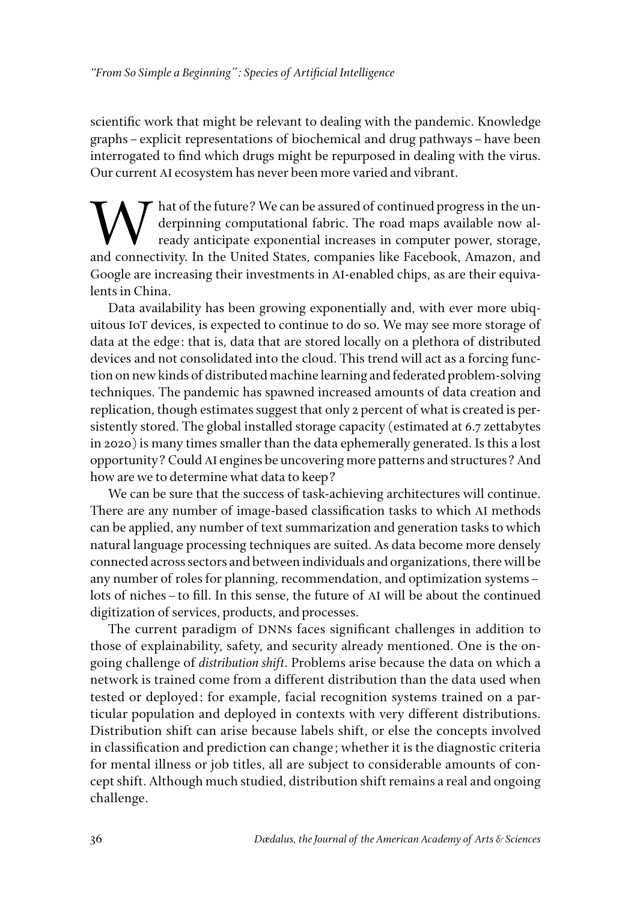scientific work that might be relevant to dealing with the pandemic. Knowledge graphs–explicit representations of biochemical and drug pathways–have been interrogated to find which drugs might be repurposed in dealing with the virus. Our current AI ecosystem has never been more varied and vibrant.

We can be assured of continued progress in the undertakended the future? We can be assured of continued progress in the undertakened ready anticipate exponential increases in computer power, storage, derpinning computational fabric. The road maps available now already anticipate exponential increases in computer power, storage, and connectivity. In the United States, companies like Facebook, Amazon, and Google are increasing their investments in AI-enabled chips, as are their equivalents in China.

Data availability has been growing exponentially and, with ever more ubiquitous IoT devices, is expected to continue to do so. We may see more storage of data at the edge: that is, data that are stored locally on a plethora of distributed devices and not consolidated into the cloud. This trend will act as a forcing function on new kinds of distributed machine learning and federated problem-solving techniques. The pandemic has spawned increased amounts of data creation and replication, though estimates suggest that only 2 percent of what is created is persistently stored. The global installed storage capacity (estimated at 6.7 zettabytes in 2020) is many times smaller than the data ephemerally generated. Is this a lost opportunity? Could AI engines be uncovering more patterns and structures? And how are we to determine what data to keep?

We can be sure that the success of task-achieving architectures will continue. There are any number of image-based classification tasks to which AI methods can be applied, any number of text summarization and generation tasks to which natural language processing techniques are suited. As data become more densely connected across sectors and between individuals and organizations, there will be any number of roles for planning, recommendation, and optimization systems– lots of niches–to fill. In this sense, the future of AI will be about the continued digitization of services, products, and processes.

The current paradigm of DNNs faces significant challenges in addition to those of explainability, safety, and security already mentioned. One is the ongoing challenge of *distribution shift*. Problems arise because the data on which a network is trained come from a different distribution than the data used when tested or deployed: for example, facial recognition systems trained on a particular population and deployed in contexts with very different distributions. Distribution shift can arise because labels shift, or else the concepts involved in classification and prediction can change; whether it is the diagnostic criteria for mental illness or job titles, all are subject to considerable amounts of concept shift. Although much studied, distribution shift remains a real and ongoing challenge.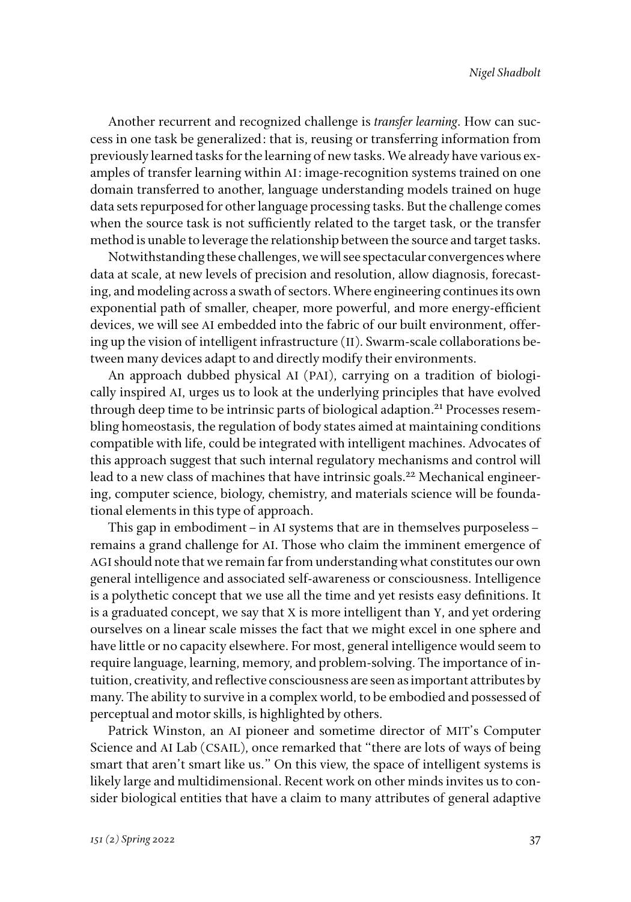Another recurrent and recognized challenge is *transfer learning*. How can success in one task be generalized: that is, reusing or transferring information from previously learned tasks for the learning of new tasks. We already have various examples of transfer learning within AI: image-recognition systems trained on one domain transferred to another, language understanding models trained on huge data sets repurposed for other language processing tasks. But the challenge comes when the source task is not sufficiently related to the target task, or the transfer method is unable to leverage the relationship between the source and target tasks.

Notwithstanding these challenges, we will see spectacular convergences where data at scale, at new levels of precision and resolution, allow diagnosis, forecasting, and modeling across a swath of sectors. Where engineering continues its own exponential path of smaller, cheaper, more powerful, and more energy-efficient devices, we will see AI embedded into the fabric of our built environment, offering up the vision of intelligent infrastructure (II). Swarm-scale collaborations between many devices adapt to and directly modify their environments.

An approach dubbed physical AI (PAI), carrying on a tradition of biologically inspired AI, urges us to look at the underlying principles that have evolved through deep time to be intrinsic parts of biological adaption.<sup>21</sup> Processes resembling homeostasis, the regulation of body states aimed at maintaining conditions compatible with life, could be integrated with intelligent machines. Advocates of this approach suggest that such internal regulatory mechanisms and control will lead to a new class of machines that have intrinsic goals.<sup>22</sup> Mechanical engineering, computer science, biology, chemistry, and materials science will be foundational elements in this type of approach.

This gap in embodiment–in AI systems that are in themselves purposeless– remains a grand challenge for AI. Those who claim the imminent emergence of AGI should note that we remain far from understanding what constitutes our own general intelligence and associated self-awareness or consciousness. Intelligence is a polythetic concept that we use all the time and yet resists easy definitions. It is a graduated concept, we say that X is more intelligent than Y, and yet ordering ourselves on a linear scale misses the fact that we might excel in one sphere and have little or no capacity elsewhere. For most, general intelligence would seem to require language, learning, memory, and problem-solving. The importance of intuition, creativity, and reflective consciousness are seen as important attributes by many. The ability to survive in a complex world, to be embodied and possessed of perceptual and motor skills, is highlighted by others.

Patrick Winston, an AI pioneer and sometime director of MIT's Computer Science and AI Lab (CSAIL), once remarked that "there are lots of ways of being smart that aren't smart like us." On this view, the space of intelligent systems is likely large and multidimensional. Recent work on other minds invites us to consider biological entities that have a claim to many attributes of general adaptive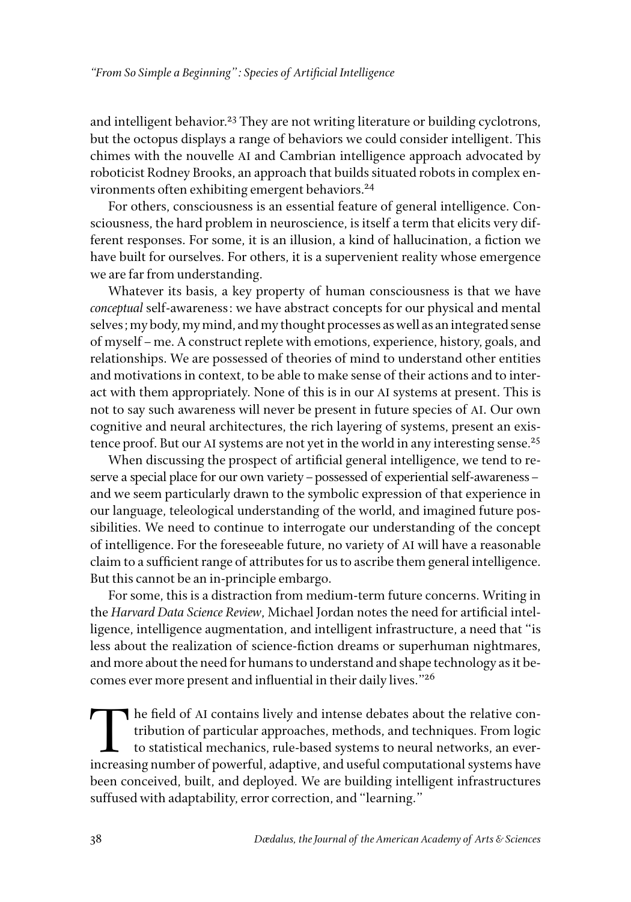and intelligent behavior.<sup>23</sup> They are not writing literature or building cyclotrons, but the octopus displays a range of behaviors we could consider intelligent. This chimes with the nouvelle AI and Cambrian intelligence approach advocated by roboticist Rodney Brooks, an approach that builds situated robots in complex environments often exhibiting emergent behaviors.<sup>24</sup>

For others, consciousness is an essential feature of general intelligence. Consciousness, the hard problem in neuroscience, is itself a term that elicits very different responses. For some, it is an illusion, a kind of hallucination, a fiction we have built for ourselves. For others, it is a supervenient reality whose emergence we are far from understanding.

Whatever its basis, a key property of human consciousness is that we have *conceptual* self-awareness: we have abstract concepts for our physical and mental selves; my body, my mind, and my thought processes as well as an integrated sense of myself–me. A construct replete with emotions, experience, history, goals, and relationships. We are possessed of theories of mind to understand other entities and motivations in context, to be able to make sense of their actions and to interact with them appropriately. None of this is in our AI systems at present. This is not to say such awareness will never be present in future species of AI. Our own cognitive and neural architectures, the rich layering of systems, present an existence proof. But our AI systems are not yet in the world in any interesting sense.<sup>25</sup>

When discussing the prospect of artificial general intelligence, we tend to reserve a special place for our own variety–possessed of experiential self-awareness– and we seem particularly drawn to the symbolic expression of that experience in our language, teleological understanding of the world, and imagined future possibilities. We need to continue to interrogate our understanding of the concept of intelligence. For the foreseeable future, no variety of AI will have a reasonable claim to a sufficient range of attributes for us to ascribe them general intelligence. But this cannot be an in-principle embargo.

For some, this is a distraction from medium-term future concerns. Writing in the *Harvard Data Science Review*, Michael Jordan notes the need for artificial intelligence, intelligence augmentation, and intelligent infrastructure, a need that "is less about the realization of science-fiction dreams or superhuman nightmares, and more about the need for humans to understand and shape technology as it becomes ever more present and influential in their daily lives."26

The field of AI contains lively and intense debates about the relative contribution of particular approaches, methods, and techniques. From logic to statistical mechanics, rule-based systems to neural networks, an everincreasing number of powerful, adaptive, and useful computational systems have been conceived, built, and deployed. We are building intelligent infrastructures suffused with adaptability, error correction, and "learning."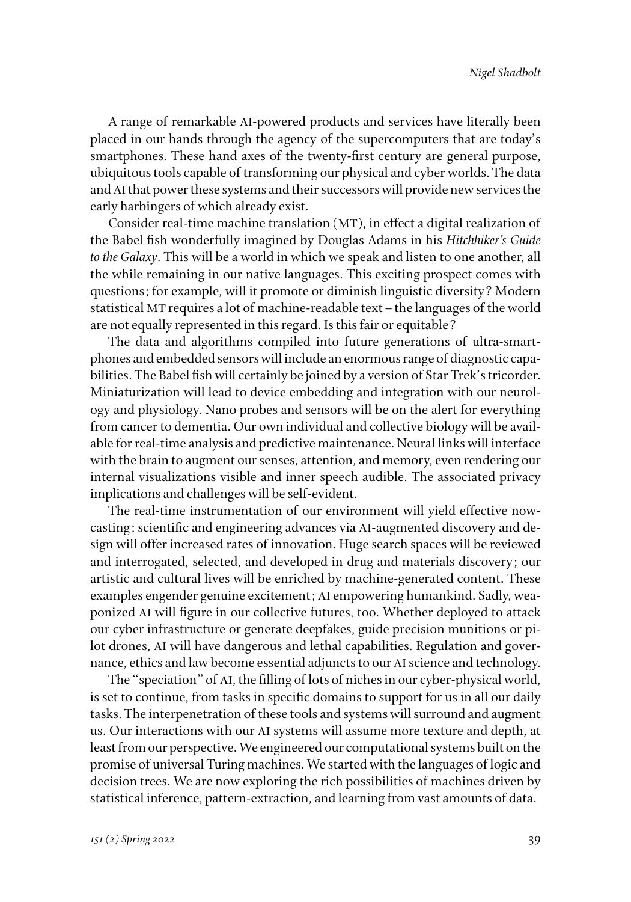A range of remarkable AI-powered products and services have literally been placed in our hands through the agency of the supercomputers that are today's smartphones. These hand axes of the twenty-first century are general purpose, ubiquitous tools capable of transforming our physical and cyber worlds. The data and AI that power these systems and their successors will provide new services the early harbingers of which already exist.

Consider real-time machine translation (MT), in effect a digital realization of the Babel fish wonderfully imagined by Douglas Adams in his *Hitchhiker's Guide to the Galaxy*. This will be a world in which we speak and listen to one another, all the while remaining in our native languages. This exciting prospect comes with questions; for example, will it promote or diminish linguistic diversity? Modern statistical MT requires a lot of machine-readable text–the languages of the world are not equally represented in this regard. Is this fair or equitable?

The data and algorithms compiled into future generations of ultra-smartphones and embedded sensors will include an enormous range of diagnostic capabilities. The Babel fish will certainly be joined by a version of Star Trek's tricorder. Miniaturization will lead to device embedding and integration with our neurology and physiology. Nano probes and sensors will be on the alert for everything from cancer to dementia. Our own individual and collective biology will be available for real-time analysis and predictive maintenance. Neural links will interface with the brain to augment our senses, attention, and memory, even rendering our internal visualizations visible and inner speech audible. The associated privacy implications and challenges will be self-evident.

The real-time instrumentation of our environment will yield effective nowcasting; scientific and engineering advances via AI-augmented discovery and design will offer increased rates of innovation. Huge search spaces will be reviewed and interrogated, selected, and developed in drug and materials discovery; our artistic and cultural lives will be enriched by machine-generated content. These examples engender genuine excitement; AI empowering humankind. Sadly, weaponized AI will figure in our collective futures, too. Whether deployed to attack our cyber infrastructure or generate deepfakes, guide precision munitions or pilot drones, AI will have dangerous and lethal capabilities. Regulation and governance, ethics and law become essential adjuncts to our AI science and technology.

The "speciation" of AI, the filling of lots of niches in our cyber-physical world, is set to continue, from tasks in specific domains to support for us in all our daily tasks. The interpenetration of these tools and systems will surround and augment us. Our interactions with our AI systems will assume more texture and depth, at least from our perspective. We engineered our computational systems built on the promise of universal Turing machines. We started with the languages of logic and decision trees. We are now exploring the rich possibilities of machines driven by statistical inference, pattern-extraction, and learning from vast amounts of data.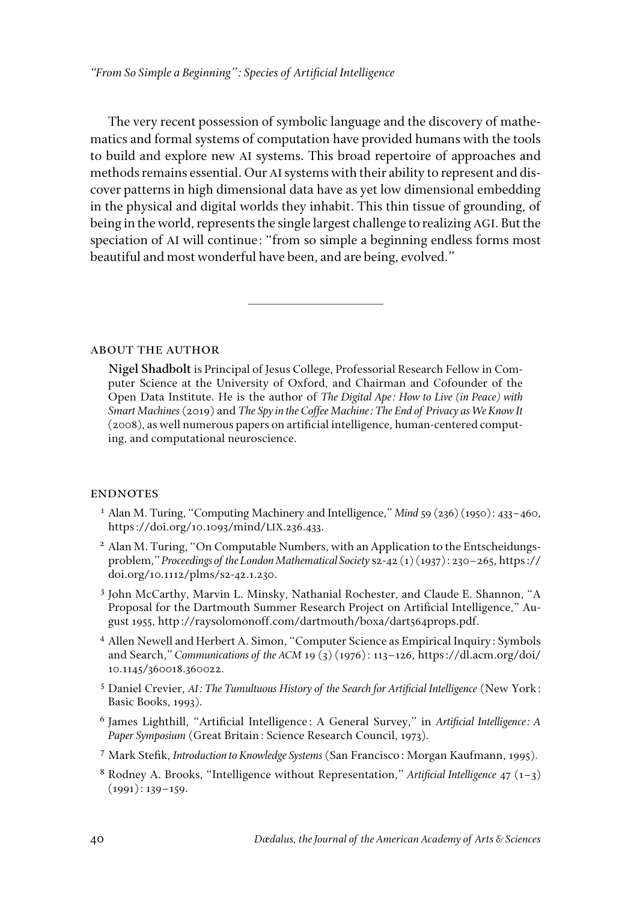The very recent possession of symbolic language and the discovery of mathematics and formal systems of computation have provided humans with the tools to build and explore new AI systems. This broad repertoire of approaches and methods remains essential. Our AI systems with their ability to represent and discover patterns in high dimensional data have as yet low dimensional embedding in the physical and digital worlds they inhabit. This thin tissue of grounding, of being in the world, represents the single largest challenge to realizing AGI. But the speciation of AI will continue: "from so simple a beginning endless forms most beautiful and most wonderful have been, and are being, evolved."

about the author

**Nigel Shadbolt** is Principal of Jesus College, Professorial Research Fellow in Computer Science at the University of Oxford, and Chairman and Cofounder of the Open Data Institute. He is the author of *The Digital Ape: How to Live (in Peace) with Smart Machines* (2019) and *The Spy in the Coffee Machine: The End of Privacy as We Know It*  (2008), as well numerous papers on artificial intelligence, human-centered computing, and computational neuroscience.

## **ENDNOTES**

- <sup>1</sup> Alan M. Turing, "Computing Machinery and Intelligence," *Mind* 59 (236) (1950): 433–460, [https://doi.org/10.1093/mind/](https://doi.org/10.1093/mind/LIX.236.433)LIX.236.433.
- <sup>2</sup> Alan M. Turing, "On Computable Numbers, with an Application to the Entscheidungsproblem," *Proceedings of the London Mathematical Society* s2-42 (1) (1937): 230–265, [https://](https://doi.org/10.1112/plms/s2-42.1.230) [doi.org/10.1112/plms/s2-42.1.230](https://doi.org/10.1112/plms/s2-42.1.230).
- <sup>3</sup> John McCarthy, Marvin L. Minsky, Nathanial Rochester, and Claude E. Shannon, "A Proposal for the Dartmouth Summer Research Project on Artificial Intelligence," August 1955,<http://raysolomonoff.com/dartmouth/boxa/dart564props.pdf>.
- <sup>4</sup> Allen Newell and Herbert A. Simon, "Computer Science as Empirical Inquiry: Symbols and Search," *Communications of the ACM* 19 (3) (1976): 113–126, https://dl.acm.org/doi/ 10.1145/360018.360022.
- <sup>5</sup> Daniel Crevier, *AI: The Tumultuous History of the Search for Artificial Intelligence* (New York: Basic Books, 1993).
- <sup>6</sup> James Lighthill, "Artificial Intelligence: A General Survey," in *Artificial Intelligence: A Paper Symposium* (Great Britain: Science Research Council, 1973).
- <sup>7</sup> Mark Stefik, *Introduction to Knowledge Systems* (San Francisco: Morgan Kaufmann, 1995).
- <sup>8</sup> Rodney A. Brooks, "Intelligence without Representation," *Artificial Intelligence* 47 (1–3) (1991): 139–159.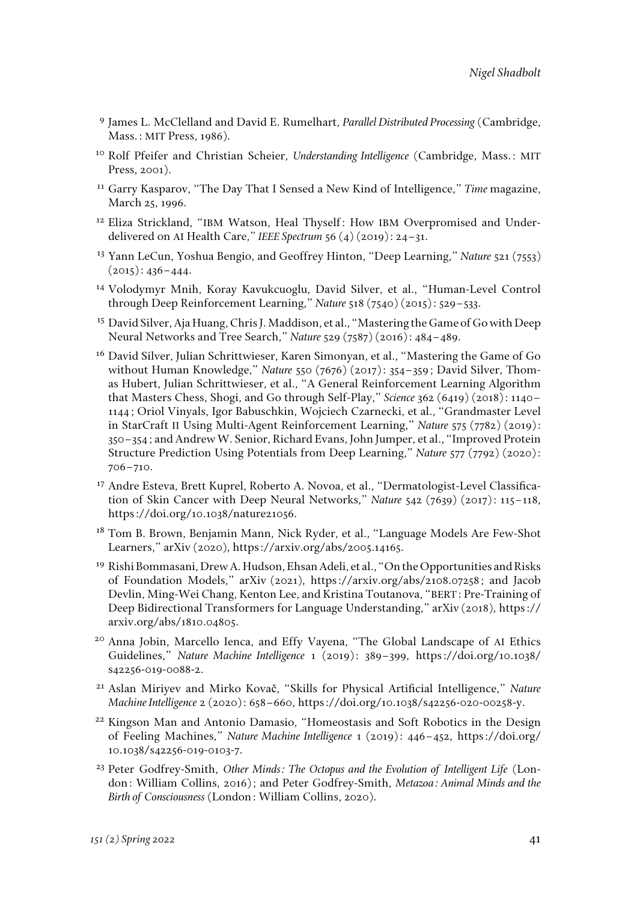- <sup>9</sup> James L. McClelland and David E. Rumelhart, *Parallel Distributed Processing* (Cambridge, Mass.: MIT Press, 1986).
- <sup>10</sup> Rolf Pfeifer and Christian Scheier, *Understanding Intelligence* (Cambridge, Mass.: MIT Press, 2001).
- <sup>11</sup> Garry Kasparov, "The Day That I Sensed a New Kind of Intelligence," *Time* magazine, March 25, 1996.
- <sup>12</sup> Eliza Strickland, "IBM Watson, Heal Thyself: How IBM Overpromised and Underdelivered on AI Health Care," *IEEE Spectrum* 56 (4) (2019): 24–31.
- <sup>13</sup> Yann LeCun, Yoshua Bengio, and Geoffrey Hinton, "Deep Learning," *Nature* 521 (7553)  $(2015): 436 - 444.$
- <sup>14</sup> Volodymyr Mnih, Koray Kavukcuoglu, David Silver, et al., "Human-Level Control through Deep Reinforcement Learning," *Nature* 518 (7540) (2015): 529–533.
- <sup>15</sup> David Silver, Aja Huang, Chris J. Maddison, et al., "Mastering the Game of Go with Deep Neural Networks and Tree Search," *Nature* 529 (7587) (2016): 484–489.
- <sup>16</sup> David Silver, Julian Schrittwieser, Karen Simonyan, et al., "Mastering the Game of Go without Human Knowledge," *Nature* 550 (7676) (2017): 354–359; David Silver, Thomas Hubert, Julian Schrittwieser, et al., "A General Reinforcement Learning Algorithm that Masters Chess, Shogi, and Go through Self-Play," *Science* 362 (6419) (2018): 1140– 1144; Oriol Vinyals, Igor Babuschkin, Wojciech Czarnecki, et al., "Grandmaster Level in StarCraft II Using Multi-Agent Reinforcement Learning," *Nature* 575 (7782) (2019): 350–354; and Andrew W. Senior, Richard Evans, John Jumper, et al., "Improved Protein Structure Prediction Using Potentials from Deep Learning," *Nature* 577 (7792) (2020): 706–710.
- <sup>17</sup> Andre Esteva, Brett Kuprel, Roberto A. Novoa, et al., "Dermatologist-Level Classification of Skin Cancer with Deep Neural Networks," *Nature* 542 (7639) (2017): 115–118, https://doi.org/10.1038/nature21056.
- <sup>18</sup> Tom B. Brown, Benjamin Mann, Nick Ryder, et al., "Language Models Are Few-Shot Learners," arXiv (2020), https://arxiv.org/abs/2005.14165.
- <sup>19</sup> Rishi Bommasani, Drew A. Hudson, Ehsan Adeli, et al., "On the Opportunities and Risks of Foundation Models," arXiv (2021), [https://arxiv.org/abs/2108.07258;](https://arxiv.org/abs/2108.07258) and Jacob Devlin, Ming-Wei Chang, Kenton Lee, and Kristina Toutanova, "BERT: Pre-Training of Deep Bidirectional Transformers for Language Understanding," arXiv (2018), https:// arxiv.org/abs/1810.04805.
- <sup>20</sup> Anna Jobin, Marcello Ienca, and Effy Vayena, "The Global Landscape of AI Ethics Guidelines," *Nature Machine Intelligence* 1 (2019): 389–399, [https://doi.org/10.1038/](https://doi.org/10.1038/s42256-019-0088-2) [s42256-019-0088-2](https://doi.org/10.1038/s42256-019-0088-2).
- <sup>21</sup> Aslan Miriyev and Mirko Kovač, "Skills for Physical Artificial Intelligence," *Nature Machine Intelligence* 2 (2020): 658–660, https://doi.org/10.1038/s42256-020-00258-y.
- <sup>22</sup> Kingson Man and Antonio Damasio, "Homeostasis and Soft Robotics in the Design of Feeling Machines," *Nature Machine Intelligence* 1 (2019): 446–452, https://doi.org/ 10.1038/s42256-019-0103-7.
- <sup>23</sup> Peter Godfrey-Smith, *Other Minds: The Octopus and the Evolution of Intelligent Life* (London: William Collins, 2016); and Peter Godfrey-Smith, *Metazoa: Animal Minds and the Birth of Consciousness* (London: William Collins, 2020).